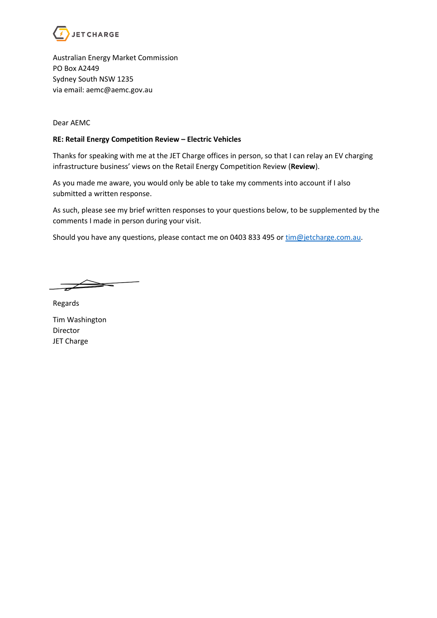

Australian Energy Market Commission PO Box A2449 Sydney South NSW 1235 via email: aemc@aemc.gov.au

Dear AEMC

## **RE: Retail Energy Competition Review – Electric Vehicles**

Thanks for speaking with me at the JET Charge offices in person, so that I can relay an EV charging infrastructure business' views on the Retail Energy Competition Review (**Review**).

As you made me aware, you would only be able to take my comments into account if I also submitted a written response.

As such, please see my brief written responses to your questions below, to be supplemented by the comments I made in person during your visit.

Should you have any questions, please contact me on 0403 833 495 or  $\frac{time}{e}$ jetcharge.com.au.

 $=$ 

Regards

Tim Washington Director JET Charge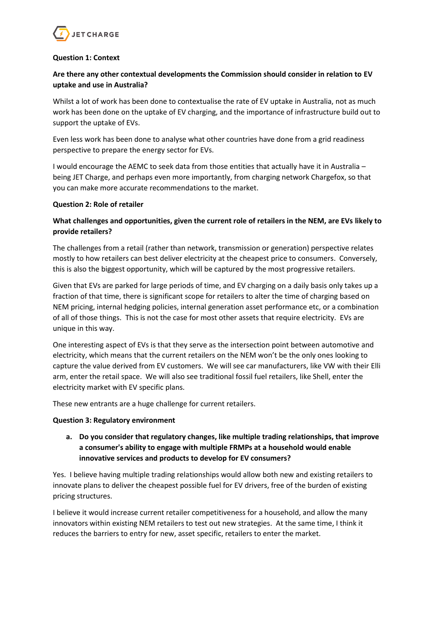

## **Question 1: Context**

# **Are there any other contextual developments the Commission should consider in relation to EV uptake and use in Australia?**

Whilst a lot of work has been done to contextualise the rate of EV uptake in Australia, not as much work has been done on the uptake of EV charging, and the importance of infrastructure build out to support the uptake of EVs.

Even less work has been done to analyse what other countries have done from a grid readiness perspective to prepare the energy sector for EVs.

I would encourage the AEMC to seek data from those entities that actually have it in Australia – being JET Charge, and perhaps even more importantly, from charging network Chargefox, so that you can make more accurate recommendations to the market.

### **Question 2: Role of retailer**

## **What challenges and opportunities, given the current role of retailers in the NEM, are EVs likely to provide retailers?**

The challenges from a retail (rather than network, transmission or generation) perspective relates mostly to how retailers can best deliver electricity at the cheapest price to consumers. Conversely, this is also the biggest opportunity, which will be captured by the most progressive retailers.

Given that EVs are parked for large periods of time, and EV charging on a daily basis only takes up a fraction of that time, there is significant scope for retailers to alter the time of charging based on NEM pricing, internal hedging policies, internal generation asset performance etc, or a combination of all of those things. This is not the case for most other assets that require electricity. EVs are unique in this way.

One interesting aspect of EVs is that they serve as the intersection point between automotive and electricity, which means that the current retailers on the NEM won't be the only ones looking to capture the value derived from EV customers. We will see car manufacturers, like VW with their Elli arm, enter the retail space. We will also see traditional fossil fuel retailers, like Shell, enter the electricity market with EV specific plans.

These new entrants are a huge challenge for current retailers.

### **Question 3: Regulatory environment**

**a. Do you consider that regulatory changes, like multiple trading relationships, that improve a consumer's ability to engage with multiple FRMPs at a household would enable innovative services and products to develop for EV consumers?**

Yes. I believe having multiple trading relationships would allow both new and existing retailers to innovate plans to deliver the cheapest possible fuel for EV drivers, free of the burden of existing pricing structures.

I believe it would increase current retailer competitiveness for a household, and allow the many innovators within existing NEM retailers to test out new strategies. At the same time, I think it reduces the barriers to entry for new, asset specific, retailers to enter the market.